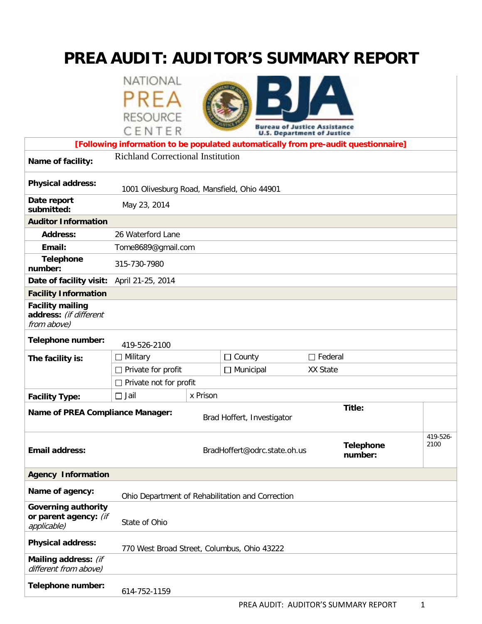# **PREA AUDIT: AUDITOR'S SUMMARY REPORT**





|                                                                                    | CENTER                                      |          |                                                  | Bureau of Justice Assistance<br><b>U.S. Department of Justice</b> |                             |                  |  |  |
|------------------------------------------------------------------------------------|---------------------------------------------|----------|--------------------------------------------------|-------------------------------------------------------------------|-----------------------------|------------------|--|--|
| [Following information to be populated automatically from pre-audit questionnaire] |                                             |          |                                                  |                                                                   |                             |                  |  |  |
| Name of facility:                                                                  | <b>Richland Correctional Institution</b>    |          |                                                  |                                                                   |                             |                  |  |  |
| <b>Physical address:</b>                                                           | 1001 Olivesburg Road, Mansfield, Ohio 44901 |          |                                                  |                                                                   |                             |                  |  |  |
| Date report<br>submitted:                                                          | May 23, 2014                                |          |                                                  |                                                                   |                             |                  |  |  |
| <b>Auditor Information</b>                                                         |                                             |          |                                                  |                                                                   |                             |                  |  |  |
| <b>Address:</b>                                                                    | 26 Waterford Lane                           |          |                                                  |                                                                   |                             |                  |  |  |
| Email:                                                                             | Tome8689@gmail.com                          |          |                                                  |                                                                   |                             |                  |  |  |
| <b>Telephone</b><br>number:                                                        | 315-730-7980                                |          |                                                  |                                                                   |                             |                  |  |  |
| Date of facility visit:                                                            | April 21-25, 2014                           |          |                                                  |                                                                   |                             |                  |  |  |
| <b>Facility Information</b>                                                        |                                             |          |                                                  |                                                                   |                             |                  |  |  |
| <b>Facility mailing</b><br>address: (if different<br>from above)                   |                                             |          |                                                  |                                                                   |                             |                  |  |  |
| Telephone number:                                                                  | 419-526-2100                                |          |                                                  |                                                                   |                             |                  |  |  |
| The facility is:                                                                   | $\Box$ Military                             |          | $\Box$ Federal<br>$\Box$ County                  |                                                                   |                             |                  |  |  |
|                                                                                    | $\Box$ Private for profit                   |          | $\Box$ Municipal                                 | XX State                                                          |                             |                  |  |  |
|                                                                                    | $\Box$ Private not for profit               |          |                                                  |                                                                   |                             |                  |  |  |
| <b>Facility Type:</b>                                                              | $\Box$ Jail                                 | x Prison |                                                  |                                                                   |                             |                  |  |  |
| Title:<br><b>Name of PREA Compliance Manager:</b><br>Brad Hoffert, Investigator    |                                             |          |                                                  |                                                                   |                             |                  |  |  |
| <b>Email address:</b>                                                              |                                             |          | BradHoffert@odrc.state.oh.us                     |                                                                   | <b>Telephone</b><br>number: | 419-526-<br>2100 |  |  |
| <b>Agency Information</b>                                                          |                                             |          |                                                  |                                                                   |                             |                  |  |  |
| Name of agency:                                                                    |                                             |          | Ohio Department of Rehabilitation and Correction |                                                                   |                             |                  |  |  |
| <b>Governing authority</b><br>or parent agency: (if<br>applicable)                 | State of Ohio                               |          |                                                  |                                                                   |                             |                  |  |  |
| <b>Physical address:</b>                                                           | 770 West Broad Street, Columbus, Ohio 43222 |          |                                                  |                                                                   |                             |                  |  |  |
| Mailing address: (if<br>different from above)                                      |                                             |          |                                                  |                                                                   |                             |                  |  |  |
| Telephone number:                                                                  | 614-752-1159                                |          |                                                  |                                                                   |                             |                  |  |  |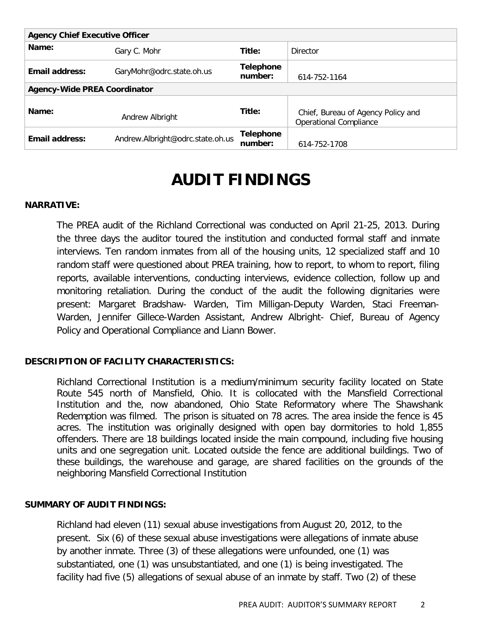| <b>Agency Chief Executive Officer</b> |                                  |                             |                                                                     |  |  |  |
|---------------------------------------|----------------------------------|-----------------------------|---------------------------------------------------------------------|--|--|--|
| Name:                                 | Gary C. Mohr                     | Title:                      | <b>Director</b>                                                     |  |  |  |
| Email address:                        | GaryMohr@odrc.state.oh.us        | <b>Telephone</b><br>number: | 614-752-1164                                                        |  |  |  |
| <b>Agency-Wide PREA Coordinator</b>   |                                  |                             |                                                                     |  |  |  |
| Name:                                 | Andrew Albright                  | Title:                      | Chief, Bureau of Agency Policy and<br><b>Operational Compliance</b> |  |  |  |
| Email address:                        | Andrew.Albright@odrc.state.oh.us | <b>Telephone</b><br>number: | 614-752-1708                                                        |  |  |  |

# **AUDIT FINDINGS**

#### **NARRATIVE:**

The PREA audit of the Richland Correctional was conducted on April 21-25, 2013. During the three days the auditor toured the institution and conducted formal staff and inmate interviews. Ten random inmates from all of the housing units, 12 specialized staff and 10 random staff were questioned about PREA training, how to report, to whom to report, filing reports, available interventions, conducting interviews, evidence collection, follow up and monitoring retaliation. During the conduct of the audit the following dignitaries were present: Margaret Bradshaw- Warden, Tim Milligan-Deputy Warden, Staci Freeman-Warden, Jennifer Gillece-Warden Assistant, Andrew Albright- Chief, Bureau of Agency Policy and Operational Compliance and Liann Bower.

#### **DESCRIPTION OF FACILITY CHARACTERISTICS:**

Richland Correctional Institution is a medium/minimum security facility located on State Route 545 north of Mansfield, Ohio. It is collocated with the Mansfield Correctional Institution and the, now abandoned, Ohio State Reformatory where The Shawshank Redemption was filmed. The prison is situated on 78 acres. The area inside the fence is 45 acres. The institution was originally designed with open bay dormitories to hold 1,855 offenders. There are 18 buildings located inside the main compound, including five housing units and one segregation unit. Located outside the fence are additional buildings. Two of these buildings, the warehouse and garage, are shared facilities on the grounds of the neighboring Mansfield Correctional Institution

#### **SUMMARY OF AUDIT FINDINGS:**

Richland had eleven (11) sexual abuse investigations from August 20, 2012, to the present. Six (6) of these sexual abuse investigations were allegations of inmate abuse by another inmate. Three (3) of these allegations were unfounded, one (1) was substantiated, one (1) was unsubstantiated, and one (1) is being investigated. The facility had five (5) allegations of sexual abuse of an inmate by staff. Two (2) of these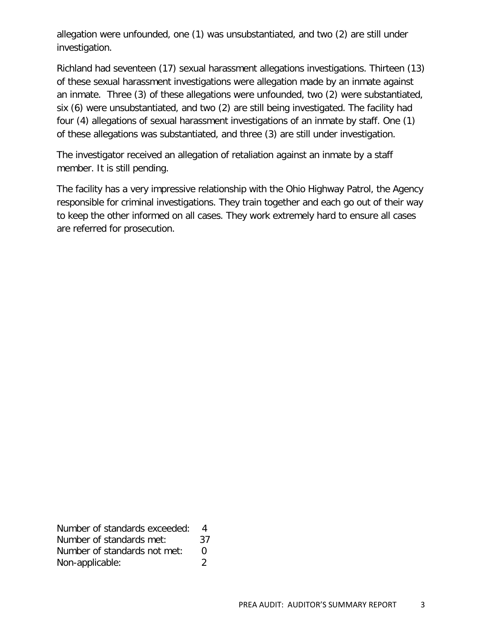allegation were unfounded, one (1) was unsubstantiated, and two (2) are still under investigation.

Richland had seventeen (17) sexual harassment allegations investigations. Thirteen (13) of these sexual harassment investigations were allegation made by an inmate against an inmate. Three (3) of these allegations were unfounded, two (2) were substantiated, six (6) were unsubstantiated, and two (2) are still being investigated. The facility had four (4) allegations of sexual harassment investigations of an inmate by staff. One (1) of these allegations was substantiated, and three (3) are still under investigation.

The investigator received an allegation of retaliation against an inmate by a staff member. It is still pending.

The facility has a very impressive relationship with the Ohio Highway Patrol, the Agency responsible for criminal investigations. They train together and each go out of their way to keep the other informed on all cases. They work extremely hard to ensure all cases are referred for prosecution.

| Number of standards exceeded: | Δ             |
|-------------------------------|---------------|
| Number of standards met:      | 37            |
| Number of standards not met:  | n             |
| Non-applicable:               | $\mathcal{L}$ |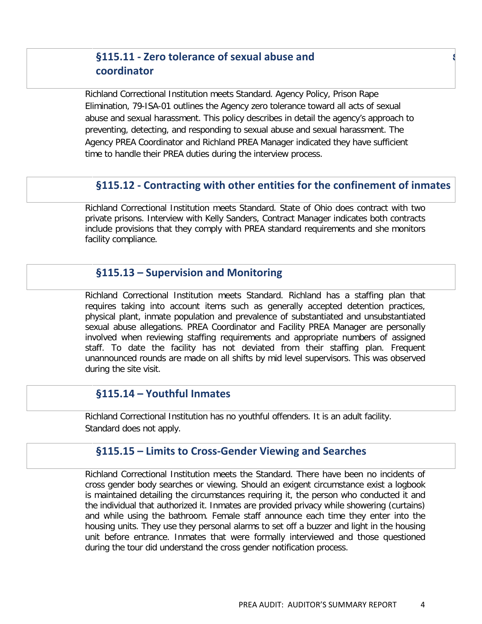# **§115.11 - Zero tolerance of sexual abuse and** s **coordinator**

Richland Correctional Institution meets Standard. Agency Policy, Prison Rape Elimination, 79-ISA-01 outlines the Agency zero tolerance toward all acts of sexual abuse and sexual harassment. This policy describes in detail the agency's approach to preventing, detecting, and responding to sexual abuse and sexual harassment. The Agency PREA Coordinator and Richland PREA Manager indicated they have sufficient time to handle their PREA duties during the interview process.

## **§115.12 - Contracting with other entities for the confinement of inmates**

Richland Correctional Institution meets Standard. State of Ohio does contract with two private prisons. Interview with Kelly Sanders, Contract Manager indicates both contracts include provisions that they comply with PREA standard requirements and she monitors facility compliance.

#### **§115.13 – Supervision and Monitoring**

Richland Correctional Institution meets Standard. Richland has a staffing plan that requires taking into account items such as generally accepted detention practices, physical plant, inmate population and prevalence of substantiated and unsubstantiated sexual abuse allegations. PREA Coordinator and Facility PREA Manager are personally involved when reviewing staffing requirements and appropriate numbers of assigned staff. To date the facility has not deviated from their staffing plan. Frequent unannounced rounds are made on all shifts by mid level supervisors. This was observed during the site visit.

#### **§115.14 – Youthful Inmates**

Richland Correctional Institution has no youthful offenders. It is an adult facility. Standard does not apply.

#### **§115.15 – Limits to Cross-Gender Viewing and Searches**

Richland Correctional Institution meets the Standard. There have been no incidents of cross gender body searches or viewing. Should an exigent circumstance exist a logbook is maintained detailing the circumstances requiring it, the person who conducted it and the individual that authorized it. Inmates are provided privacy while showering (curtains) and while using the bathroom. Female staff announce each time they enter into the housing units. They use they personal alarms to set off a buzzer and light in the housing unit before entrance. Inmates that were formally interviewed and those questioned during the tour did understand the cross gender notification process.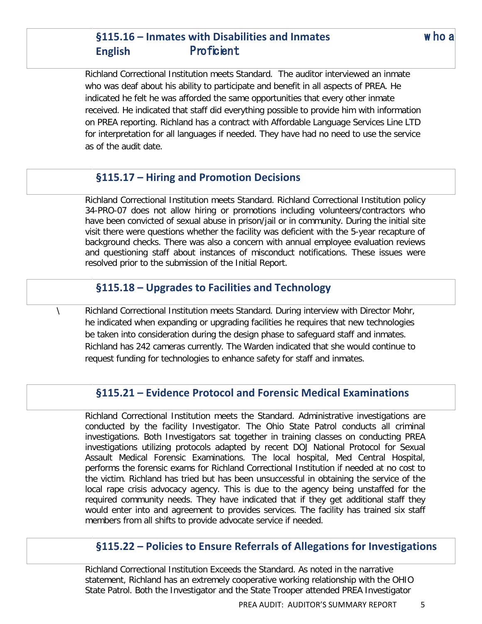# **§115.16 – Inmates with Disabilities and Inmates** w ho a **English** Proficient

Richland Correctional Institution meets Standard. The auditor interviewed an inmate who was deaf about his ability to participate and benefit in all aspects of PREA. He indicated he felt he was afforded the same opportunities that every other inmate received. He indicated that staff did everything possible to provide him with information on PREA reporting. Richland has a contract with Affordable Language Services Line LTD for interpretation for all languages if needed. They have had no need to use the service as of the audit date.

## **§115.17 – Hiring and Promotion Decisions**

Richland Correctional Institution meets Standard. Richland Correctional Institution policy 34-PRO-07 does not allow hiring or promotions including volunteers/contractors who have been convicted of sexual abuse in prison/jail or in community. During the initial site visit there were questions whether the facility was deficient with the 5-year recapture of background checks. There was also a concern with annual employee evaluation reviews and questioning staff about instances of misconduct notifications. These issues were resolved prior to the submission of the Initial Report.

## **§115.18 – Upgrades to Facilities and Technology**

\ Richland Correctional Institution meets Standard. During interview with Director Mohr, he indicated when expanding or upgrading facilities he requires that new technologies be taken into consideration during the design phase to safeguard staff and inmates. Richland has 242 cameras currently. The Warden indicated that she would continue to request funding for technologies to enhance safety for staff and inmates.

## **§115.21 – Evidence Protocol and Forensic Medical Examinations**

Richland Correctional Institution meets the Standard. Administrative investigations are conducted by the facility Investigator. The Ohio State Patrol conducts all criminal investigations. Both Investigators sat together in training classes on conducting PREA investigations utilizing protocols adapted by recent DOJ National Protocol for Sexual Assault Medical Forensic Examinations. The local hospital, Med Central Hospital, performs the forensic exams for Richland Correctional Institution if needed at no cost to the victim. Richland has tried but has been unsuccessful in obtaining the service of the local rape crisis advocacy agency. This is due to the agency being unstaffed for the required community needs. They have indicated that if they get additional staff they would enter into and agreement to provides services. The facility has trained six staff members from all shifts to provide advocate service if needed.

#### **§115.22 – Policies to Ensure Referrals of Allegations for Investigations**

Richland Correctional Institution Exceeds the Standard. As noted in the narrative statement, Richland has an extremely cooperative working relationship with the OHIO State Patrol. Both the Investigator and the State Trooper attended PREA Investigator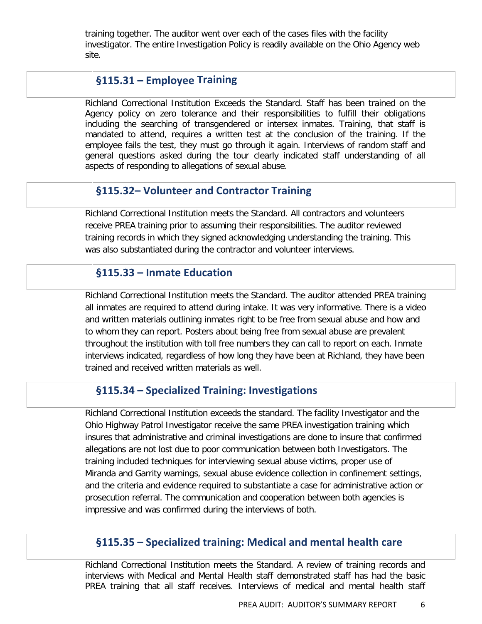training together. The auditor went over each of the cases files with the facility investigator. The entire Investigation Policy is readily available on the Ohio Agency web site.

# **§115.31 – Employee Training**

Richland Correctional Institution Exceeds the Standard. Staff has been trained on the Agency policy on zero tolerance and their responsibilities to fulfill their obligations including the searching of transgendered or intersex inmates. Training, that staff is mandated to attend, requires a written test at the conclusion of the training. If the employee fails the test, they must go through it again. Interviews of random staff and general questions asked during the tour clearly indicated staff understanding of all aspects of responding to allegations of sexual abuse.

# **§115.32– Volunteer and Contractor Training**

Richland Correctional Institution meets the Standard. All contractors and volunteers receive PREA training prior to assuming their responsibilities. The auditor reviewed training records in which they signed acknowledging understanding the training. This was also substantiated during the contractor and volunteer interviews.

## **§115.33 – Inmate Education**

Richland Correctional Institution meets the Standard. The auditor attended PREA training all inmates are required to attend during intake. It was very informative. There is a video and written materials outlining inmates right to be free from sexual abuse and how and to whom they can report. Posters about being free from sexual abuse are prevalent throughout the institution with toll free numbers they can call to report on each. Inmate interviews indicated, regardless of how long they have been at Richland, they have been trained and received written materials as well.

## **§115.34 – Specialized Training: Investigations**

Richland Correctional Institution exceeds the standard. The facility Investigator and the Ohio Highway Patrol Investigator receive the same PREA investigation training which insures that administrative and criminal investigations are done to insure that confirmed allegations are not lost due to poor communication between both Investigators. The training included techniques for interviewing sexual abuse victims, proper use of Miranda and Garrity warnings, sexual abuse evidence collection in confinement settings, and the criteria and evidence required to substantiate a case for administrative action or prosecution referral. The communication and cooperation between both agencies is impressive and was confirmed during the interviews of both.

## **§115.35 – Specialized training: Medical and mental health care**

Richland Correctional Institution meets the Standard. A review of training records and interviews with Medical and Mental Health staff demonstrated staff has had the basic PREA training that all staff receives. Interviews of medical and mental health staff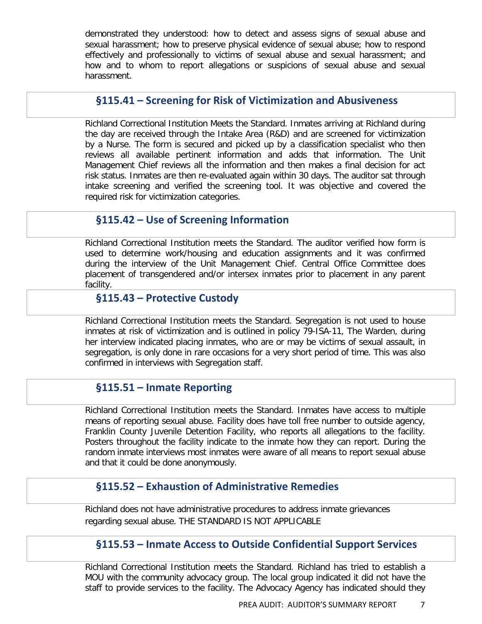demonstrated they understood: how to detect and assess signs of sexual abuse and sexual harassment; how to preserve physical evidence of sexual abuse; how to respond effectively and professionally to victims of sexual abuse and sexual harassment; and how and to whom to report allegations or suspicions of sexual abuse and sexual harassment.

## **§115.41 – Screening for Risk of Victimization and Abusiveness**

Richland Correctional Institution Meets the Standard. Inmates arriving at Richland during the day are received through the Intake Area (R&D) and are screened for victimization by a Nurse. The form is secured and picked up by a classification specialist who then reviews all available pertinent information and adds that information. The Unit Management Chief reviews all the information and then makes a final decision for act risk status. Inmates are then re-evaluated again within 30 days. The auditor sat through intake screening and verified the screening tool. It was objective and covered the required risk for victimization categories.

## **§115.42 – Use of Screening Information**

Richland Correctional Institution meets the Standard. The auditor verified how form is used to determine work/housing and education assignments and it was confirmed during the interview of the Unit Management Chief. Central Office Committee does placement of transgendered and/or intersex inmates prior to placement in any parent facility.

## **§115.43 – Protective Custody**

Richland Correctional Institution meets the Standard. Segregation is not used to house inmates at risk of victimization and is outlined in policy 79-ISA-11, The Warden, during her interview indicated placing inmates, who are or may be victims of sexual assault, in segregation, is only done in rare occasions for a very short period of time. This was also confirmed in interviews with Segregation staff.

## **§115.51 – Inmate Reporting**

Richland Correctional Institution meets the Standard. Inmates have access to multiple means of reporting sexual abuse. Facility does have toll free number to outside agency, Franklin County Juvenile Detention Facility, who reports all allegations to the facility. Posters throughout the facility indicate to the inmate how they can report. During the random inmate interviews most inmates were aware of all means to report sexual abuse and that it could be done anonymously.

#### **§115.52 – Exhaustion of Administrative Remedies**

Richland does not have administrative procedures to address inmate grievances regarding sexual abuse. THE STANDARD IS NOT APPLICABLE

## **§115.53 – Inmate Access to Outside Confidential Support Services**

Richland Correctional Institution meets the Standard. Richland has tried to establish a MOU with the community advocacy group. The local group indicated it did not have the staff to provide services to the facility. The Advocacy Agency has indicated should they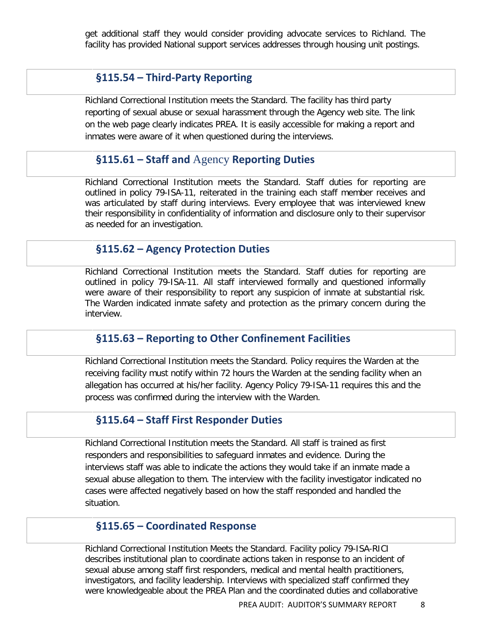get additional staff they would consider providing advocate services to Richland. The facility has provided National support services addresses through housing unit postings.

#### **§115.54 – Third-Party Reporting**

Richland Correctional Institution meets the Standard. The facility has third party reporting of sexual abuse or sexual harassment through the Agency web site. The link on the web page clearly indicates PREA. It is easily accessible for making a report and inmates were aware of it when questioned during the interviews.

## **§115.61 – Staff and** Agency **Reporting Duties**

Richland Correctional Institution meets the Standard. Staff duties for reporting are outlined in policy 79-ISA-11, reiterated in the training each staff member receives and was articulated by staff during interviews. Every employee that was interviewed knew their responsibility in confidentiality of information and disclosure only to their supervisor as needed for an investigation.

## **§115.62 – Agency Protection Duties**

Richland Correctional Institution meets the Standard. Staff duties for reporting are outlined in policy 79-ISA-11. All staff interviewed formally and questioned informally were aware of their responsibility to report any suspicion of inmate at substantial risk. The Warden indicated inmate safety and protection as the primary concern during the interview.

#### **§115.63 – Reporting to Other Confinement Facilities**

Richland Correctional Institution meets the Standard. Policy requires the Warden at the receiving facility must notify within 72 hours the Warden at the sending facility when an allegation has occurred at his/her facility. Agency Policy 79-ISA-11 requires this and the process was confirmed during the interview with the Warden.

#### **§115.64 – Staff First Responder Duties**

Richland Correctional Institution meets the Standard. All staff is trained as first responders and responsibilities to safeguard inmates and evidence. During the interviews staff was able to indicate the actions they would take if an inmate made a sexual abuse allegation to them. The interview with the facility investigator indicated no cases were affected negatively based on how the staff responded and handled the situation.

#### **§115.65 – Coordinated Response**

Richland Correctional Institution Meets the Standard. Facility policy 79-ISA-RICI describes institutional plan to coordinate actions taken in response to an incident of sexual abuse among staff first responders, medical and mental health practitioners, investigators, and facility leadership. Interviews with specialized staff confirmed they were knowledgeable about the PREA Plan and the coordinated duties and collaborative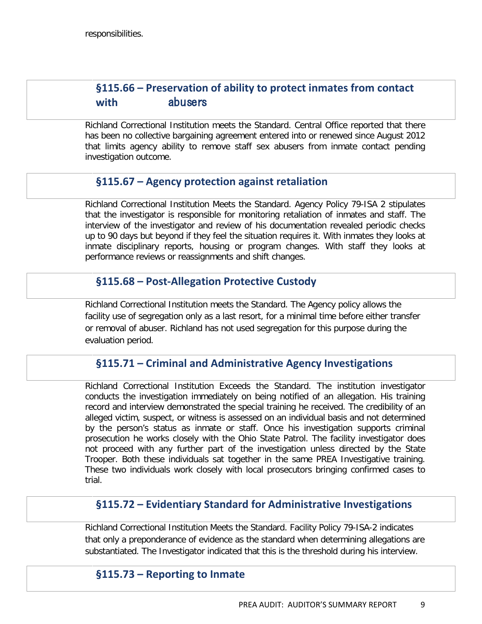# **§115.66 – Preservation of ability to protect inmates from contact with** abusers

Richland Correctional Institution meets the Standard. Central Office reported that there has been no collective bargaining agreement entered into or renewed since August 2012 that limits agency ability to remove staff sex abusers from inmate contact pending investigation outcome.

## **§115.67 – Agency protection against retaliation**

Richland Correctional Institution Meets the Standard. Agency Policy 79-ISA 2 stipulates that the investigator is responsible for monitoring retaliation of inmates and staff. The interview of the investigator and review of his documentation revealed periodic checks up to 90 days but beyond if they feel the situation requires it. With inmates they looks at inmate disciplinary reports, housing or program changes. With staff they looks at performance reviews or reassignments and shift changes.

## **§115.68 – Post-Allegation Protective Custody**

Richland Correctional Institution meets the Standard. The Agency policy allows the facility use of segregation only as a last resort, for a minimal time before either transfer or removal of abuser. Richland has not used segregation for this purpose during the evaluation period.

## **§115.71 – Criminal and Administrative Agency Investigations**

Richland Correctional Institution Exceeds the Standard. The institution investigator conducts the investigation immediately on being notified of an allegation. His training record and interview demonstrated the special training he received. The credibility of an alleged victim, suspect, or witness is assessed on an individual basis and not determined by the person's status as inmate or staff. Once his investigation supports criminal prosecution he works closely with the Ohio State Patrol. The facility investigator does not proceed with any further part of the investigation unless directed by the State Trooper. Both these individuals sat together in the same PREA Investigative training. These two individuals work closely with local prosecutors bringing confirmed cases to trial.

## **§115.72 – Evidentiary Standard for Administrative Investigations**

Richland Correctional Institution Meets the Standard. Facility Policy 79-ISA-2 indicates that only a preponderance of evidence as the standard when determining allegations are substantiated. The Investigator indicated that this is the threshold during his interview.

## **§115.73 – Reporting to Inmate**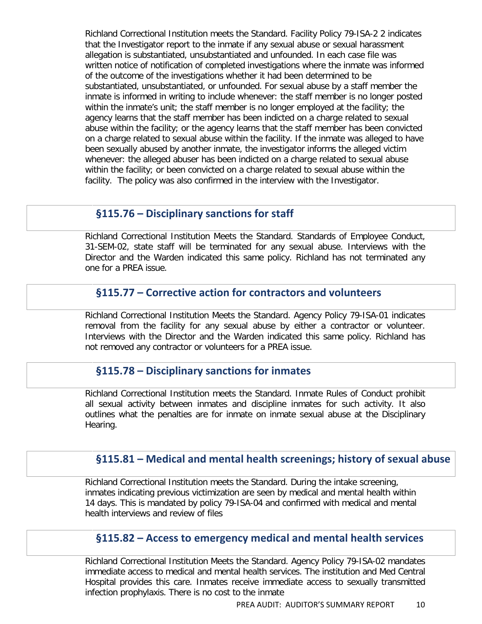Richland Correctional Institution meets the Standard. Facility Policy 79-ISA-2 2 indicates that the Investigator report to the inmate if any sexual abuse or sexual harassment allegation is substantiated, unsubstantiated and unfounded. In each case file was written notice of notification of completed investigations where the inmate was informed of the outcome of the investigations whether it had been determined to be substantiated, unsubstantiated, or unfounded. For sexual abuse by a staff member the inmate is informed in writing to include whenever: the staff member is no longer posted within the inmate's unit; the staff member is no longer employed at the facility; the agency learns that the staff member has been indicted on a charge related to sexual abuse within the facility; or the agency learns that the staff member has been convicted on a charge related to sexual abuse within the facility. If the inmate was alleged to have been sexually abused by another inmate, the investigator informs the alleged victim whenever: the alleged abuser has been indicted on a charge related to sexual abuse within the facility; or been convicted on a charge related to sexual abuse within the facility. The policy was also confirmed in the interview with the Investigator.

## **§115.76 – Disciplinary sanctions for staff**

Richland Correctional Institution Meets the Standard. Standards of Employee Conduct, 31-SEM-02, state staff will be terminated for any sexual abuse. Interviews with the Director and the Warden indicated this same policy. Richland has not terminated any one for a PREA issue.

## **§115.77 – Corrective action for contractors and volunteers**

Richland Correctional Institution Meets the Standard. Agency Policy 79-ISA-01 indicates removal from the facility for any sexual abuse by either a contractor or volunteer. Interviews with the Director and the Warden indicated this same policy. Richland has not removed any contractor or volunteers for a PREA issue.

#### **§115.78 – Disciplinary sanctions for inmates**

Richland Correctional Institution meets the Standard. Inmate Rules of Conduct prohibit all sexual activity between inmates and discipline inmates for such activity. It also outlines what the penalties are for inmate on inmate sexual abuse at the Disciplinary Hearing.

## **§115.81 – Medical and mental health screenings; history of sexual abuse**

Richland Correctional Institution meets the Standard. During the intake screening, inmates indicating previous victimization are seen by medical and mental health within 14 days. This is mandated by policy 79-ISA-04 and confirmed with medical and mental health interviews and review of files

#### **§115.82 – Access to emergency medical and mental health services**

Richland Correctional Institution Meets the Standard. Agency Policy 79-ISA-02 mandates immediate access to medical and mental health services. The institution and Med Central Hospital provides this care. Inmates receive immediate access to sexually transmitted infection prophylaxis. There is no cost to the inmate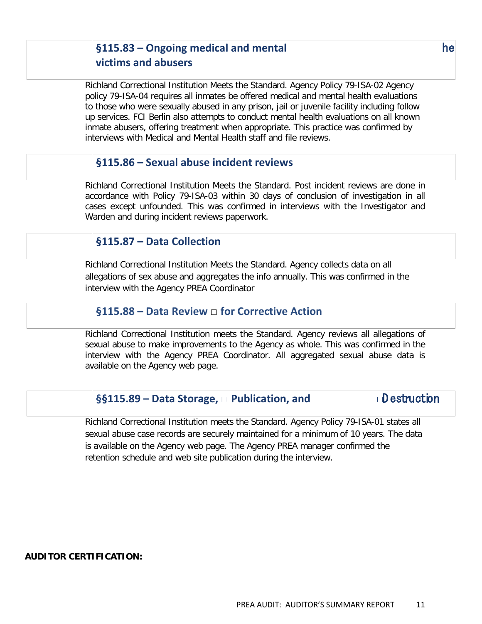# **§115.83 – Ongoing medical and mental** he 
**victims and abusers**

Richland Correctional Institution Meets the Standard. Agency Policy 79-ISA-02 Agency policy 79-ISA-04 requires all inmates be offered medical and mental health evaluations to those who were sexually abused in any prison, jail or juvenile facility including follow up services. FCI Berlin also attempts to conduct mental health evaluations on all known inmate abusers, offering treatment when appropriate. This practice was confirmed by interviews with Medical and Mental Health staff and file reviews.

## **§115.86 – Sexual abuse incident reviews**

Richland Correctional Institution Meets the Standard. Post incident reviews are done in accordance with Policy 79-ISA-03 within 30 days of conclusion of investigation in all cases except unfounded. This was confirmed in interviews with the Investigator and Warden and during incident reviews paperwork.

## **§115.87 – Data Collection**

Richland Correctional Institution Meets the Standard. Agency collects data on all allegations of sex abuse and aggregates the info annually. This was confirmed in the interview with the Agency PREA Coordinator

#### **§115.88 – Data Review** □ **for Corrective Action**

Richland Correctional Institution meets the Standard. Agency reviews all allegations of sexual abuse to make improvements to the Agency as whole. This was confirmed in the interview with the Agency PREA Coordinator. All aggregated sexual abuse data is available on the Agency web page.

## **§§115.89 – Data Storage,** □ **Publication, and** □D estruction

Richland Correctional Institution meets the Standard. Agency Policy 79-ISA-01 states all sexual abuse case records are securely maintained for a minimum of 10 years. The data is available on the Agency web page. The Agency PREA manager confirmed the retention schedule and web site publication during the interview.

#### **AUDITOR CERTIFICATION:**